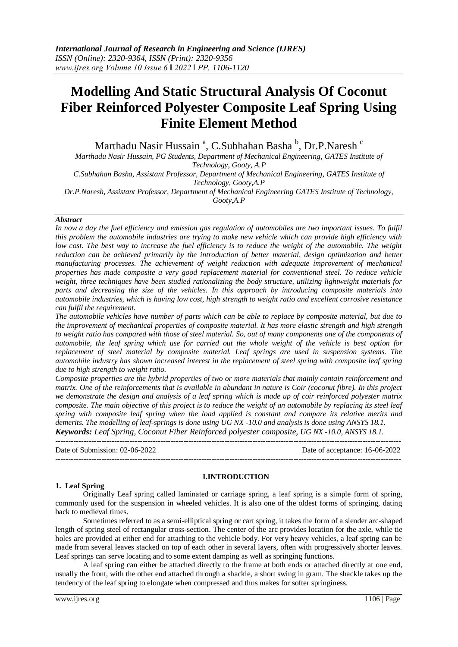# **Modelling And Static Structural Analysis Of Coconut Fiber Reinforced Polyester Composite Leaf Spring Using Finite Element Method**

Marthadu Nasir Hussain <sup>a</sup>, C.Subhahan Basha <sup>b</sup>, Dr.P.Naresh <sup>c</sup>

*Marthadu Nasir Hussain, PG Students, Department of Mechanical Engineering, GATES Institute of Technology, Gooty, A.P*

*C.Subhahan Basha, Assistant Professor, Department of Mechanical Engineering, GATES Institute of Technology, Gooty,A.P*

*Dr.P.Naresh, Assistant Professor, Department of Mechanical Engineering GATES Institute of Technology, Gooty,A.P*

#### *Abstract*

In now a day the fuel efficiency and emission gas regulation of automobiles are two important issues. To fulfil *this problem the automobile industries are trying to make new vehicle which can provide high efficiency with low cost. The best way to increase the fuel efficiency is to reduce the weight of the automobile. The weight reduction can be achieved primarily by the introduction of better material, design optimization and better manufacturing processes. The achievement of weight reduction with adequate improvement of mechanical properties has made composite a very good replacement material for conventional steel. To reduce vehicle weight, three techniques have been studied rationalizing the body structure, utilizing lightweight materials for parts and decreasing the size of the vehicles. In this approach by introducing composite materials into automobile industries, which is having low cost, high strength to weight ratio and excellent corrosive resistance can fulfil the requirement.*

*The automobile vehicles have number of parts which can be able to replace by composite material, but due to the improvement of mechanical properties of composite material. It has more elastic strength and high strength to weight ratio has compared with those of steel material. So, out of many components one of the components of automobile, the leaf spring which use for carried out the whole weight of the vehicle is best option for replacement of steel material by composite material. Leaf springs are used in suspension systems. The automobile industry has shown increased interest in the replacement of steel spring with composite leaf spring due to high strength to weight ratio.* 

*Composite properties are the hybrid properties of two or more materials that mainly contain reinforcement and matrix. One of the reinforcements that is available in abundant in nature is Coir (coconut fibre). In this project we demonstrate the design and analysis of a leaf spring which is made up of coir reinforced polyester matrix composite. The main objective of this project is to reduce the weight of an automobile by replacing its steel leaf spring with composite leaf spring when the load applied is constant and compare its relative merits and demerits. The modelling of leaf-springs is done using UG NX -10.0 and analysis is done using ANSYS 18.1. Keywords: Leaf Spring, Coconut Fiber Reinforced polyester composite, UG NX -10.0, ANSYS 18.1.*

---------------------------------------------------------------------------------------------------------------------------------------

Date of Submission: 02-06-2022 Date of acceptance: 16-06-2022 ---------------------------------------------------------------------------------------------------------------------------------------

#### **I.INTRODUCTION**

#### **1. Leaf Spring**

Originally Leaf spring called laminated or carriage spring, a leaf spring is a simple form of spring, commonly used for the suspension in wheeled vehicles. It is also one of the oldest forms of springing, dating back to medieval times.

Sometimes referred to as a semi-elliptical spring or cart spring, it takes the form of a slender arc-shaped length of spring steel of rectangular cross-section. The center of the arc provides location for the axle, while tie holes are provided at either end for attaching to the vehicle body. For very heavy vehicles, a leaf spring can be made from several leaves stacked on top of each other in several layers, often with progressively shorter leaves. Leaf springs can serve locating and to some extent damping as well as springing functions.

A leaf spring can either be attached directly to the frame at both ends or attached directly at one end, usually the front, with the other end attached through a shackle, a short swing in gram. The shackle takes up the tendency of the leaf spring to elongate when compressed and thus makes for softer springiness.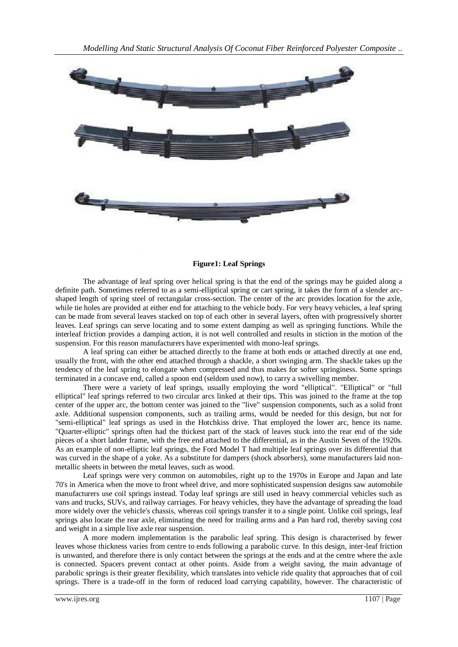

#### **Figure1: Leaf Springs**

The advantage of leaf spring over helical spring is that the end of the springs may be guided along a definite path. Sometimes referred to as a semi-elliptical spring or cart spring, it takes the form of a slender arcshaped length of spring steel of rectangular cross-section. The center of the arc provides location for the axle, while tie holes are provided at either end for attaching to the vehicle body. For very heavy vehicles, a leaf spring can be made from several leaves stacked on top of each other in several layers, often with progressively shorter leaves. Leaf springs can serve locating and to some extent damping as well as springing functions. While the interleaf friction provides a damping action, it is not well controlled and results in stiction in the motion of the suspension. For this reason manufacturers have experimented with mono-leaf springs.

A leaf spring can either be attached directly to the frame at both ends or attached directly at one end, usually the front, with the other end attached through a shackle, a short swinging arm. The shackle takes up the tendency of the leaf spring to elongate when compressed and thus makes for softer springiness. Some springs terminated in a concave end, called a spoon end (seldom used now), to carry a swivelling member.

There were a variety of leaf springs, usually employing the word "elliptical". "Elliptical" or "full elliptical" leaf springs referred to two circular arcs linked at their tips. This was joined to the frame at the top center of the upper arc, the bottom center was joined to the "live" suspension components, such as a solid front axle. Additional suspension components, such as trailing arms, would be needed for this design, but not for "semi-elliptical" leaf springs as used in the Hotchkiss drive. That employed the lower arc, hence its name. "Quarter-elliptic" springs often had the thickest part of the stack of leaves stuck into the rear end of the side pieces of a short ladder frame, with the free end attached to the differential, as in the Austin Seven of the 1920s. As an example of non-elliptic leaf springs, the Ford Model T had multiple leaf springs over its differential that was curved in the shape of a yoke. As a substitute for dampers (shock absorbers), some manufacturers laid nonmetallic sheets in between the metal leaves, such as wood.

Leaf springs were very common on automobiles, right up to the 1970s in Europe and Japan and late 70's in America when the move to front wheel drive, and more sophisticated suspension designs saw automobile manufacturers use coil springs instead. Today leaf springs are still used in heavy commercial vehicles such as vans and trucks, SUVs, and railway carriages. For heavy vehicles, they have the advantage of spreading the load more widely over the vehicle's chassis, whereas coil springs transfer it to a single point. Unlike coil springs, leaf springs also locate the rear axle, eliminating the need for trailing arms and a Pan hard rod, thereby saving cost and weight in a simple live axle rear suspension.

A more modern implementation is the parabolic leaf spring. This design is characterised by fewer leaves whose thickness varies from centre to ends following a parabolic curve. In this design, inter-leaf friction is unwanted, and therefore there is only contact between the springs at the ends and at the centre where the axle is connected. Spacers prevent contact at other points. Aside from a weight saving, the main advantage of parabolic springs is their greater flexibility, which translates into vehicle ride quality that approaches that of coil springs. There is a trade-off in the form of reduced load carrying capability, however. The characteristic of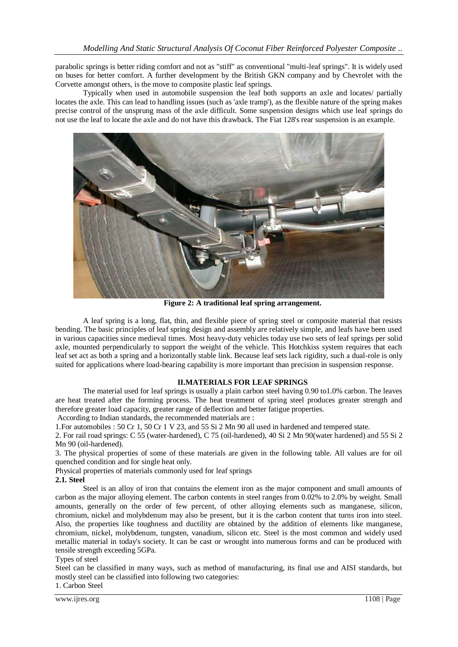parabolic springs is better riding comfort and not as "stiff" as conventional "multi-leaf springs". It is widely used on buses for better comfort. A further development by the British GKN company and by Chevrolet with the Corvette amongst others, is the move to composite plastic leaf springs.

Typically when used in automobile suspension the leaf both supports an axle and locates/ partially locates the axle. This can lead to handling issues (such as 'axle tramp'), as the flexible nature of the spring makes precise control of the unsprung mass of the axle difficult. Some suspension designs which use leaf springs do not use the leaf to locate the axle and do not have this drawback. The Fiat 128's rear suspension is an example.



**Figure 2: A traditional leaf spring arrangement.**

A leaf spring is a long, flat, thin, and flexible piece of spring steel or composite material that resists bending. The basic principles of leaf spring design and assembly are relatively simple, and leafs have been used in various capacities since medieval times. Most heavy-duty vehicles today use two sets of leaf springs per solid axle, mounted perpendicularly to support the weight of the vehicle. This Hotchkiss system requires that each leaf set act as both a spring and a horizontally stable link. Because leaf sets lack rigidity, such a dual-role is only suited for applications where load-bearing capability is more important than precision in suspension response.

#### **II.MATERIALS FOR LEAF SPRINGS**

The material used for leaf springs is usually a plain carbon steel having 0.90 to1.0% carbon. The leaves are heat treated after the forming process. The heat treatment of spring steel produces greater strength and therefore greater load capacity, greater range of deflection and better fatigue properties.

According to Indian standards, the recommended materials are :

1.For automobiles : 50 Cr 1, 50 Cr 1 V 23, and 55 Si 2 Mn 90 all used in hardened and tempered state.

2. For rail road springs: C 55 (water-hardened), C 75 (oil-hardened), 40 Si 2 Mn 90(water hardened) and 55 Si 2 Mn 90 (oil-hardened).

3. The physical properties of some of these materials are given in the following table. All values are for oil quenched condition and for single heat only.

Physical properties of materials commonly used for leaf springs **2.1. Steel**

Steel is an alloy of iron that contains the element iron as the major component and small amounts of carbon as the major alloying element. The carbon contents in steel ranges from 0.02% to 2.0% by weight. Small amounts, generally on the order of few percent, of other alloying elements such as manganese, silicon, chromium, nickel and molybdenum may also be present, but it is the carbon content that turns iron into steel. Also, the properties like toughness and ductility are obtained by the addition of elements like manganese, chromium, nickel, molybdenum, tungsten, vanadium, silicon etc. Steel is the most common and widely used metallic material in today's society. It can be cast or wrought into numerous forms and can be produced with tensile strength exceeding 5GPa.

Types of steel

Steel can be classified in many ways, such as method of manufacturing, its final use and AISI standards, but mostly steel can be classified into following two categories:

1. Carbon Steel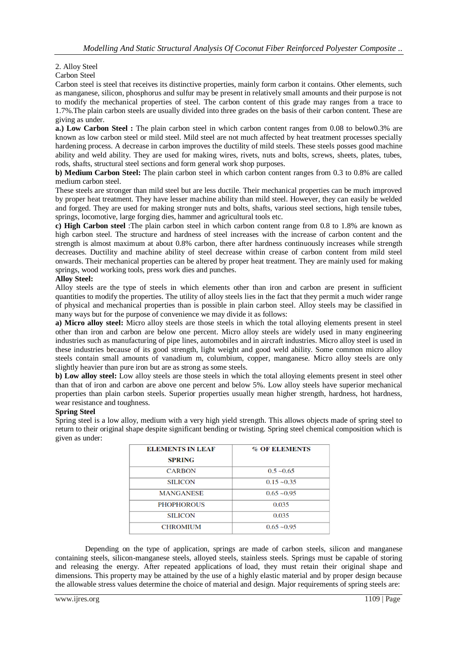# 2. Alloy Steel

#### Carbon Steel

Carbon steel is steel that receives its distinctive properties, mainly form carbon it contains. Other elements, such as manganese, silicon, phosphorus and sulfur may be present in relatively small amounts and their purpose is not to modify the mechanical properties of steel. The carbon content of this grade may ranges from a trace to 1.7%.The plain carbon steels are usually divided into three grades on the basis of their carbon content. These are giving as under.

**a.) Low Carbon Steel :** The plain carbon steel in which carbon content ranges from 0.08 to below0.3% are known as low carbon steel or mild steel. Mild steel are not much affected by heat treatment processes specially hardening process. A decrease in carbon improves the ductility of mild steels. These steels posses good machine ability and weld ability. They are used for making wires, rivets, nuts and bolts, screws, sheets, plates, tubes, rods, shafts, structural steel sections and form general work shop purposes.

**b) Medium Carbon Steel:** The plain carbon steel in which carbon content ranges from 0.3 to 0.8% are called medium carbon steel.

These steels are stronger than mild steel but are less ductile. Their mechanical properties can be much improved by proper heat treatment. They have lesser machine ability than mild steel. However, they can easily be welded and forged. They are used for making stronger nuts and bolts, shafts, various steel sections, high tensile tubes, springs, locomotive, large forging dies, hammer and agricultural tools etc.

**c) High Carbon steel** :The plain carbon steel in which carbon content range from 0.8 to 1.8% are known as high carbon steel. The structure and hardness of steel increases with the increase of carbon content and the strength is almost maximum at about 0.8% carbon, there after hardness continuously increases while strength decreases. Ductility and machine ability of steel decrease within crease of carbon content from mild steel onwards. Their mechanical properties can be altered by proper heat treatment. They are mainly used for making springs, wood working tools, press work dies and punches.

#### **Alloy Steel:**

Alloy steels are the type of steels in which elements other than iron and carbon are present in sufficient quantities to modify the properties. The utility of alloy steels lies in the fact that they permit a much wider range of physical and mechanical properties than is possible in plain carbon steel. Alloy steels may be classified in many ways but for the purpose of convenience we may divide it as follows:

**a) Micro alloy steel:** Micro alloy steels are those steels in which the total alloying elements present in steel other than iron and carbon are below one percent. Micro alloy steels are widely used in many engineering industries such as manufacturing of pipe lines, automobiles and in aircraft industries. Micro alloy steel is used in these industries because of its good strength, light weight and good weld ability. Some common micro alloy steels contain small amounts of vanadium m, columbium, copper, manganese. Micro alloy steels are only slightly heavier than pure iron but are as strong as some steels.

**b) Low alloy steel:** Low alloy steels are those steels in which the total alloying elements present in steel other than that of iron and carbon are above one percent and below 5%. Low alloy steels have superior mechanical properties than plain carbon steels. Superior properties usually mean higher strength, hardness, hot hardness, wear resistance and toughness.

#### **Spring Steel**

Spring steel is a low alloy, medium with a very high yield strength. This allows objects made of spring steel to return to their original shape despite significant bending or twisting. Spring steel chemical composition which is given as under:

| <b>ELEMENTS IN LEAF</b><br><b>SPRING</b> | <b>% OF ELEMENTS</b> |  |  |
|------------------------------------------|----------------------|--|--|
| <b>CARBON</b>                            | $0.5 - 0.65$         |  |  |
| <b>SILICON</b>                           | $0.15 - 0.35$        |  |  |
| <b>MANGANESE</b>                         | $0.65 - 0.95$        |  |  |
| <b>PHOPHOROUS</b>                        | 0.035                |  |  |
| <b>SILICON</b>                           | 0.035                |  |  |
| <b>CHROMIUM</b>                          | $0.65 - 0.95$        |  |  |

Depending on the type of application, springs are made of carbon steels, silicon and manganese containing steels, silicon-manganese steels, alloyed steels, stainless steels. Springs must be capable of storing and releasing the energy. After repeated applications of load, they must retain their original shape and dimensions. This property may be attained by the use of a highly elastic material and by proper design because the allowable stress values determine the choice of material and design. Major requirements of spring steels are: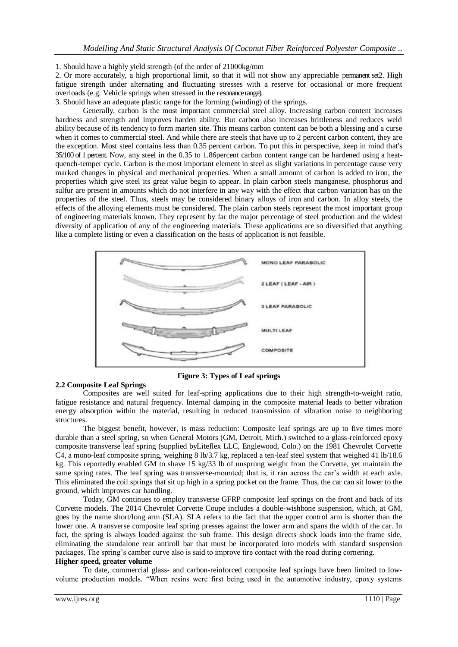1. Should have a highly yield strength (of the order of 21000kg/mm

2. Or more accurately, a high proportional limit, so that it will not show any appreciable permanent set2. High fatigue strength under alternating and fluctuating stresses with a reserve for occasional or more frequent overloads (e.g. Vehicle springs when stressed in the resonance range).

3. Should have an adequate plastic range for the forming (winding) of the springs.

Generally, carbon is the most important commercial steel alloy. Increasing carbon content increases hardness and strength and improves harden ability. But carbon also increases brittleness and reduces weld ability because of its tendency to form marten site. This means carbon content can be both a blessing and a curse when it comes to commercial steel. And while there are steels that have up to 2 percent carbon content, they are the exception. Most steel contains less than 0.35 percent carbon. To put this in perspective, keep in mind that's 35/100 of 1 percent. Now, any steel in the 0.35 to 1.86percent carbon content range can be hardened using a heatquench-temper cycle. Carbon is the most important element in steel as slight variations in percentage cause very marked changes in physical and mechanical properties. When a small amount of carbon is added to iron, the properties which give steel its great value begin to appear. In plain carbon steels manganese, phosphorus and sulfur are present in amounts which do not interfere in any way with the effect that carbon variation has on the properties of the steel. Thus, steels may be considered binary alloys of iron and carbon. In alloy steels, the effects of the alloying elements must be considered. The plain carbon steels represent the most important group of engineering materials known. They represent by far the major percentage of steel production and the widest diversity of application of any of the engineering materials. These applications are so diversified that anything like a complete listing or even a classification on the basis of application is not feasible.



**Figure 3: Types of Leaf springs**

#### **2.2 Composite Leaf Springs**

Composites are well suited for leaf-spring applications due to their high strength-to-weight ratio, fatigue resistance and natural frequency. Internal damping in the composite material leads to better vibration energy absorption within the material, resulting in reduced transmission of vibration noise to neighboring structures.

The biggest benefit, however, is mass reduction: Composite leaf springs are up to five times more durable than a steel spring, so when General Motors (GM, Detroit, Mich.) switched to a glass-reinforced epoxy composite transverse leaf spring (supplied byLiteflex LLC, Englewood, Colo.) on the 1981 Chevrolet Corvette C4, a mono-leaf composite spring, weighing 8 lb/3.7 kg, replaced a ten-leaf steel system that weighed 41 lb/18.6 kg. This reportedly enabled GM to shave 15 kg/33 lb of unsprung weight from the Corvette, yet maintain the same spring rates. The leaf spring was transverse-mounted; that is, it ran across the car's width at each axle. This eliminated the coil springs that sit up high in a spring pocket on the frame. Thus, the car can sit lower to the ground, which improves car handling.

Today, GM continues to employ transverse GFRP composite leaf springs on the front and back of its Corvette models. The 2014 Chevrolet Corvette Coupe includes a double-wishbone suspension, which, at GM, goes by the name short/long arm (SLA). SLA refers to the fact that the upper control arm is shorter than the lower one. A transverse composite leaf spring presses against the lower arm and spans the width of the car. In fact, the spring is always loaded against the sub frame. This design directs shock loads into the frame side, eliminating the standalone rear antiroll bar that must be incorporated into models with standard suspension packages. The spring's camber curve also is said to improve tire contact with the road during cornering.

#### **Higher speed, greater volume**

To date, commercial glass- and carbon-reinforced composite leaf springs have been limited to lowvolume production models. "When resins were first being used in the automotive industry, epoxy systems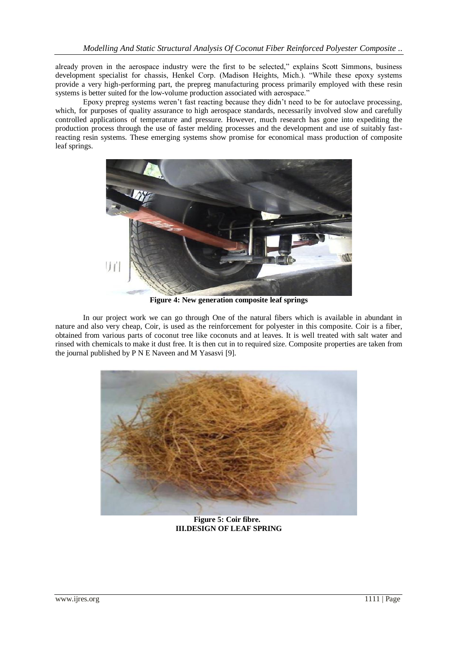already proven in the aerospace industry were the first to be selected," explains Scott Simmons, business development specialist for chassis, Henkel Corp. (Madison Heights, Mich.). "While these epoxy systems provide a very high-performing part, the prepreg manufacturing process primarily employed with these resin systems is better suited for the low-volume production associated with aerospace."

Epoxy prepreg systems weren't fast reacting because they didn't need to be for autoclave processing, which, for purposes of quality assurance to high aerospace standards, necessarily involved slow and carefully controlled applications of temperature and pressure. However, much research has gone into expediting the production process through the use of faster melding processes and the development and use of suitably fastreacting resin systems. These emerging systems show promise for economical mass production of composite leaf springs.



**Figure 4: New generation composite leaf springs**

In our project work we can go through One of the natural fibers which is available in abundant in nature and also very cheap, Coir, is used as the reinforcement for polyester in this composite. Coir is a fiber, obtained from various parts of coconut tree like coconuts and at leaves. It is well treated with salt water and rinsed with chemicals to make it dust free. It is then cut in to required size. Composite properties are taken from the journal published by P N E Naveen and M Yasasvi [9].



**Figure 5: Coir fibre. III.DESIGN OF LEAF SPRING**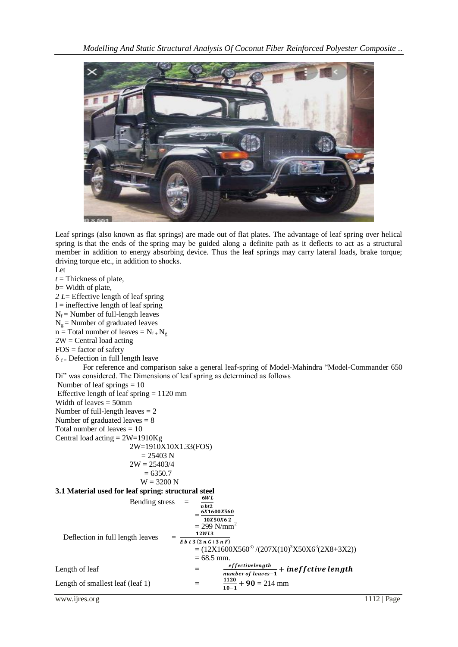

Leaf springs (also known as flat springs) are made out of flat plates. The advantage of leaf spring over helical spring is that the ends of the spring may be guided along a definite path as it deflects to act as a structural member in addition to energy absorbing device. Thus the leaf springs may carry lateral loads, brake torque; driving torque etc., in addition to shocks.

Let *t* = Thickness of plate, *b*= Width of plate, *2 L*= Effective length of leaf spring  $l =$  ineffective length of leaf spring  $N_f$  = Number of full-length leaves  $N_g$  = Number of graduated leaves  $n = Total number of leaves = N_{f+}N_g$  $2W =$ Central load acting  $FOS =$  factor of safety  $\delta_{\text{f}}$  Defection in full length leave For reference and comparison sake a general leaf-spring of Model-Mahindra "Model-Commander 650 Di" was considered. The Dimensions of leaf spring as determined as follows Number of leaf springs = 10 Effective length of leaf spring  $= 1120$  mm Width of leaves = 50mm Number of full-length leaves = 2 Number of graduated leaves = 8 Total number of leaves  $= 10$ Central load acting  $= 2W = 1910$ Kg 2W=1910X10X1.33(FOS)  $= 25403 N$  $2W = 25403/4$  $= 6350.7$  $W = 3200 N$ **3.1 Material used for leaf spring: structural steel** Bending stress n<br>6  $= \frac{0.1600 \times 360}{10 \times 50 \times 62}$  $= 299 \text{ N/mm}^2$  Deflection in full length leaves =  $E b t 3 (2 n G + 3 n F)$  $=(12X1600X560^{3})/(207X(10)^{3}X50X6^{3}(2X8+3X2))$  $= 68.5$  mm. Length of leaf  $=$ e  $\frac{e}{m}$  run ber of leaves-1 + Length of smallest leaf (leaf 1)  $=$ 1  $\frac{1120}{10-1}$  + 90 = 214 mm

www.ijres.org 1112 | Page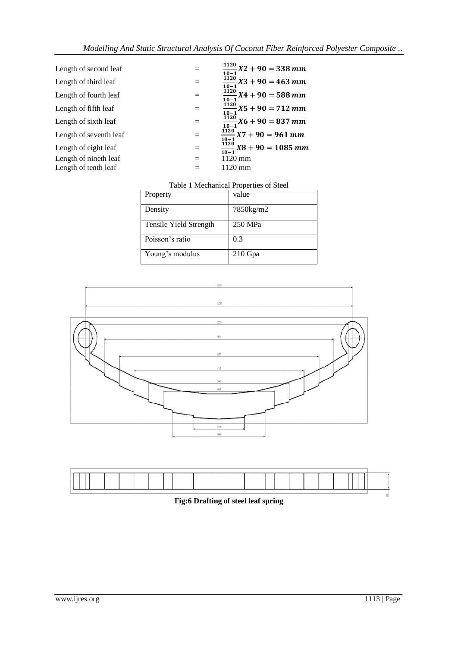| Length of second leaf  |     | $\frac{1120}{10-1}X2 + 90 = 338 \, mm$                  |
|------------------------|-----|---------------------------------------------------------|
| Length of third leaf   |     | $\frac{1120}{1120}X3 + 90 = 463$ mm<br>$10 - 1$         |
| Length of fourth leaf  |     | $\frac{\tilde{1}\tilde{1}2\tilde{0}}{10-1}X4+90=588 mm$ |
| Length of fifth leaf   | $=$ | $\frac{1120}{10-1}X5 + 90 = 712 \; mm$                  |
| Length of sixth leaf   |     | $\frac{1120}{1120}X6 + 90 = 837 \; mm$<br>$10 - 1$      |
| Length of seventh leaf | $=$ | $\frac{1120}{112}X7 + 90 = 961$ mm<br>$10 - 1$          |
| Length of eight leaf   | $=$ | $\frac{\overline{1120}}{10-1}X8 + 90 = 1085$ mm         |
| Length of nineth leaf  | $=$ | $1120$ mm                                               |
| Length of tenth leaf   |     | $1120 \text{ mm}$                                       |
|                        |     |                                                         |

| Property               | value     |
|------------------------|-----------|
| Density                | 7850kg/m2 |
| Tensile Yield Strength | 250 MPa   |
| Poisson's ratio        | 0.3       |
| Young's modulus        | $210$ Gpa |





# **Fig:6 Drafting of steel leaf spring**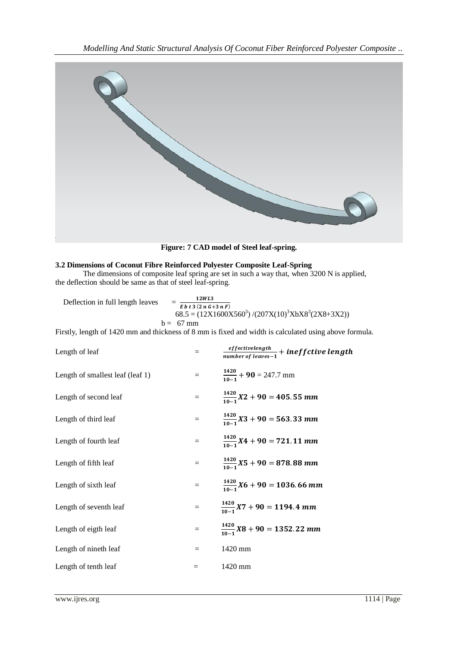

**Figure: 7 CAD model of Steel leaf-spring.**

### **3.2 Dimensions of Coconut Fibre Reinforced Polyester Composite Leaf-Spring**

The dimensions of composite leaf spring are set in such a way that, when 3200 N is applied, the deflection should be same as that of steel leaf-spring.

 $12WL3$  Deflection in full length leaves =  $= \frac{12.76}{E b t 3 (2 n G + 3 n F)}$  $68.5 = (12X1600X560<sup>3</sup>)/(207X(10)<sup>3</sup>XbX8<sup>3</sup>(2X8+3X2))$  $b = 67$  mm

Firstly, length of 1420 mm and thickness of 8 mm is fixed and width is calculated using above formula.

| Length of leaf                   | $=$ | $\frac{effective length}{number\ of\ leaves-1} + inefficient\ length$ |
|----------------------------------|-----|-----------------------------------------------------------------------|
| Length of smallest leaf (leaf 1) | $=$ | $\frac{1420}{10-1}$ + 90 = 247.7 mm                                   |
| Length of second leaf            | $=$ | $\frac{1420}{10-1}X2 + 90 = 405.55 \; mm$                             |
| Length of third leaf             | $=$ | $\frac{1420}{10-1}X3 + 90 = 563.33$ mm                                |
| Length of fourth leaf            | $=$ | $\frac{1420}{10-1}X4 + 90 = 721.11 \text{ mm}$                        |
| Length of fifth leaf             | $=$ | $\frac{1420}{10-1}X5 + 90 = 878.88$ mm                                |
| Length of sixth leaf             | $=$ | $\frac{1420}{10-1}X6 + 90 = 1036.66$ mm                               |
| Length of seventh leaf           | $=$ | $\frac{1420}{10-1} X7 + 90 = 1194.4 \text{ mm}$                       |
| Length of eigth leaf             | $=$ | $\frac{1420}{10-1}X8 + 90 = 1352.22 \text{ mm}$                       |
| Length of nineth leaf            | $=$ | 1420 mm                                                               |
| Length of tenth leaf             | $=$ | 1420 mm                                                               |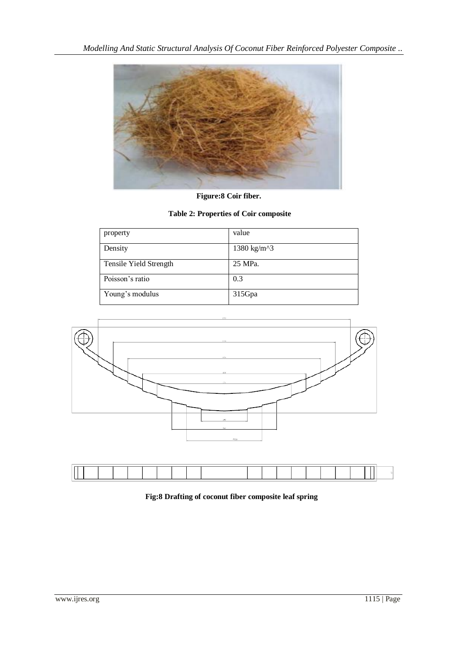

**Figure:8 Coir fiber.**

# **Table 2: Properties of Coir composite**

| property               | value       |
|------------------------|-------------|
| Density                | 1380 kg/m^3 |
| Tensile Yield Strength | 25 MPa.     |
| Poisson's ratio        | 0.3         |
| Young's modulus        | 315Gpa      |





# **Fig:8 Drafting of coconut fiber composite leaf spring**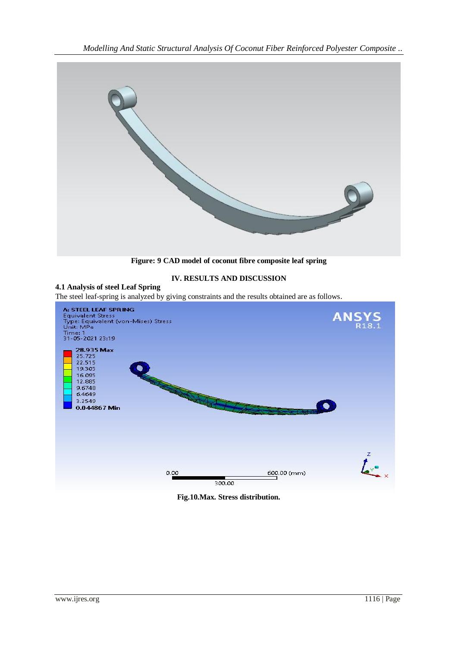*Modelling And Static Structural Analysis Of Coconut Fiber Reinforced Polyester Composite ..*



**Figure: 9 CAD model of coconut fibre composite leaf spring**

# **IV. RESULTS AND DISCUSSION**

# **4.1 Analysis of steel Leaf Spring**



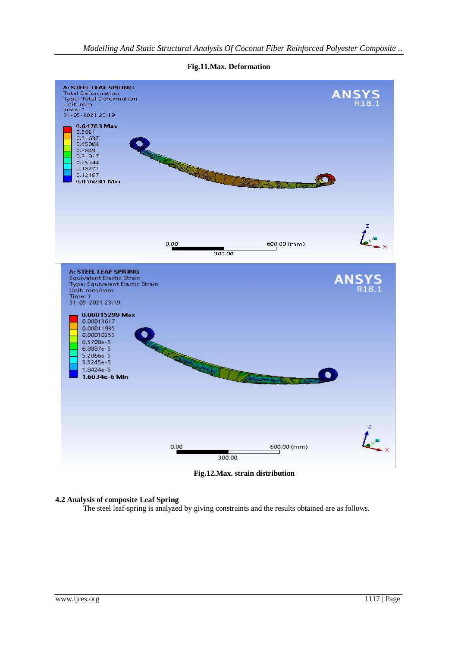

**Fig.11.Max. Deformation**

**Fig.12.Max. strain distribution**

#### **4.2 Analysis of composite Leaf Spring**

The steel leaf-spring is analyzed by giving constraints and the results obtained are as follows.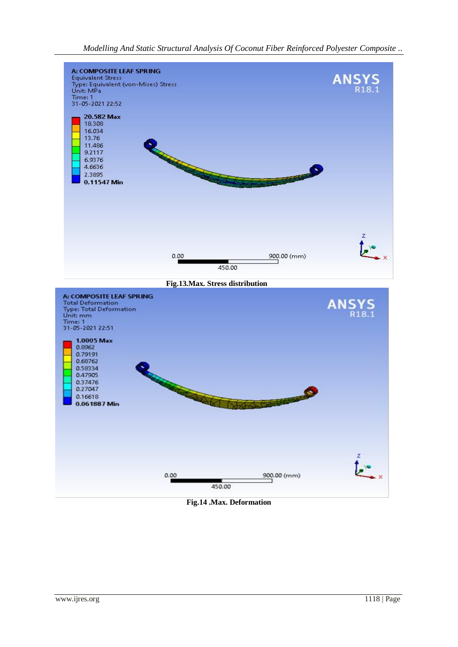*Modelling And Static Structural Analysis Of Coconut Fiber Reinforced Polyester Composite ..*



**Fig.14 .Max. Deformation**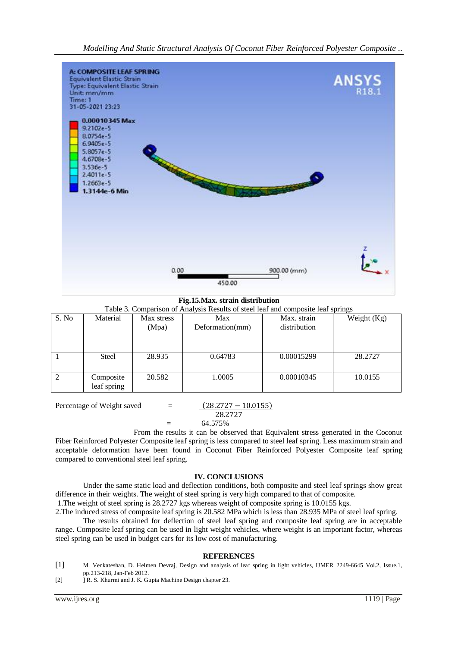

**Fig.15.Max. strain distribution**

|  |  | Table 3. Comparison of Analysis Results of steel leaf and composite leaf springs |
|--|--|----------------------------------------------------------------------------------|
|  |  |                                                                                  |

| S. No | Material     | Max stress | Max             | Max. strain  | Weight (Kg) |
|-------|--------------|------------|-----------------|--------------|-------------|
|       |              | (Mpa)      | Deformation(mm) | distribution |             |
|       |              |            |                 |              |             |
|       |              |            |                 |              |             |
|       |              |            |                 |              |             |
|       | <b>Steel</b> | 28.935     | 0.64783         | 0.00015299   | 28.2727     |
|       |              |            |                 |              |             |
|       | Composite    | 20.582     | 1.0005          | 0.00010345   | 10.0155     |
|       | leaf spring  |            |                 |              |             |
|       |              |            |                 |              |             |

Percentage of Weight saved  $=$  $(28.2727 - 10.0155)$ 27

$$
28.272
$$

 $=$  64.575%

From the results it can be observed that Equivalent stress generated in the Coconut Fiber Reinforced Polyester Composite leaf spring is less compared to steel leaf spring. Less maximum strain and acceptable deformation have been found in Coconut Fiber Reinforced Polyester Composite leaf spring compared to conventional steel leaf spring.

#### **IV. CONCLUSIONS**

Under the same static load and deflection conditions, both composite and steel leaf springs show great difference in their weights. The weight of steel spring is very high compared to that of composite.

1.The weight of steel spring is 28.2727 kgs whereas weight of composite spring is 10.0155 kgs.

2.The induced stress of composite leaf spring is 20.582 MPa which is less than 28.935 MPa of steel leaf spring.

The results obtained for deflection of steel leaf spring and composite leaf spring are in acceptable range. Composite leaf spring can be used in light weight vehicles, where weight is an important factor, whereas steel spring can be used in budget cars for its low cost of manufacturing.

#### **REFERENCES**

[1] M. Venkateshan, D. Helmen Devraj, Design and analysis of leaf spring in light vehicles, IJMER 2249-6645 Vol.2, Issue.1, pp.213-218, Jan-Feb 2012.

[2] ] R. S. Khurmi and J. K. Gupta Machine Design chapter 23.